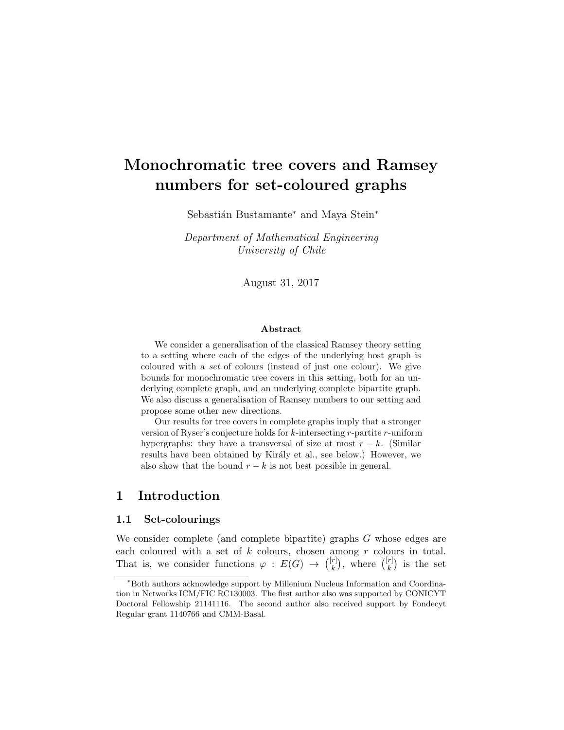# Monochromatic tree covers and Ramsey numbers for set-coloured graphs

Sebastián Bustamante<sup>∗</sup> and Maya Stein<sup>∗</sup>

Department of Mathematical Engineering University of Chile

August 31, 2017

#### Abstract

We consider a generalisation of the classical Ramsey theory setting to a setting where each of the edges of the underlying host graph is coloured with a set of colours (instead of just one colour). We give bounds for monochromatic tree covers in this setting, both for an underlying complete graph, and an underlying complete bipartite graph. We also discuss a generalisation of Ramsey numbers to our setting and propose some other new directions.

Our results for tree covers in complete graphs imply that a stronger version of Ryser's conjecture holds for k-intersecting r-partite r-uniform hypergraphs: they have a transversal of size at most  $r - k$ . (Similar results have been obtained by Király et al., see below.) However, we also show that the bound  $r - k$  is not best possible in general.

# 1 Introduction

## 1.1 Set-colourings

We consider complete (and complete bipartite) graphs G whose edges are each coloured with a set of  $k$  colours, chosen among  $r$  colours in total. That is, we consider functions  $\varphi : E(G) \to \binom{[r]}{k}$  $\binom{[r]}{k}$ , where  $\binom{[r]}{k}$  $\binom{r}{k}$  is the set

<sup>∗</sup>Both authors acknowledge support by Millenium Nucleus Information and Coordination in Networks ICM/FIC RC130003. The first author also was supported by CONICYT Doctoral Fellowship 21141116. The second author also received support by Fondecyt Regular grant 1140766 and CMM-Basal.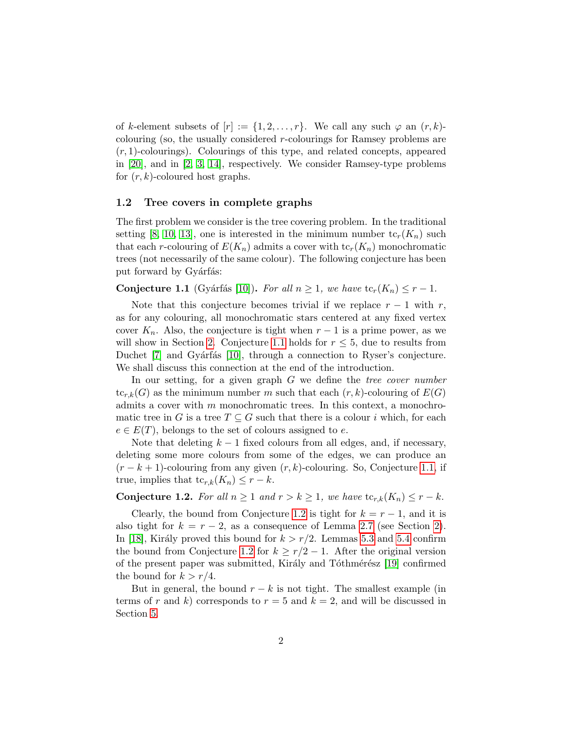of k-element subsets of  $[r] := \{1, 2, \ldots, r\}$ . We call any such  $\varphi$  an  $(r, k)$ colouring (so, the usually considered r-colourings for Ramsey problems are  $(r, 1)$ -colourings). Colourings of this type, and related concepts, appeared in [\[20\]](#page-22-0), and in [\[2,](#page-20-0) [3,](#page-20-1) [14\]](#page-21-0), respectively. We consider Ramsey-type problems for  $(r, k)$ -coloured host graphs.

## 1.2 Tree covers in complete graphs

The first problem we consider is the tree covering problem. In the traditional setting [\[8,](#page-21-1) [10,](#page-21-2) [13\]](#page-21-3), one is interested in the minimum number  $tc_r(K_n)$  such that each r-colouring of  $E(K_n)$  admits a cover with  $\text{tc}_r(K_n)$  monochromatic trees (not necessarily of the same colour). The following conjecture has been put forward by Gyárfás:

<span id="page-1-0"></span>**Conjecture 1.1** (Gyárfás [\[10\]](#page-21-2)). For all  $n \geq 1$ , we have  $\text{tc}_r(K_n) \leq r - 1$ .

Note that this conjecture becomes trivial if we replace  $r - 1$  with r, as for any colouring, all monochromatic stars centered at any fixed vertex cover  $K_n$ . Also, the conjecture is tight when  $r-1$  is a prime power, as we will show in Section [2.](#page-4-0) Conjecture [1.1](#page-1-0) holds for  $r \leq 5$ , due to results from Duchet  $[7]$  and Gyárfás  $[10]$ , through a connection to Ryser's conjecture. We shall discuss this connection at the end of the introduction.

In our setting, for a given graph  $G$  we define the *tree cover number*  $tc_{r,k}(G)$  as the minimum number m such that each  $(r, k)$ -colouring of  $E(G)$ admits a cover with  $m$  monochromatic trees. In this context, a monochromatic tree in G is a tree  $T \subseteq G$  such that there is a colour i which, for each  $e \in E(T)$ , belongs to the set of colours assigned to e.

Note that deleting  $k-1$  fixed colours from all edges, and, if necessary, deleting some more colours from some of the edges, we can produce an  $(r - k + 1)$ -colouring from any given  $(r, k)$ -colouring. So, Conjecture [1.1,](#page-1-0) if true, implies that  $tc_{r,k}(K_n) \leq r - k$ .

## <span id="page-1-1"></span>**Conjecture 1.2.** For all  $n \geq 1$  and  $r > k \geq 1$ , we have  $\text{tc}_{r,k}(K_n) \leq r - k$ .

Clearly, the bound from Conjecture [1.2](#page-1-1) is tight for  $k = r - 1$ , and it is also tight for  $k = r - 2$ , as a consequence of Lemma [2.7](#page-6-0) (see Section [2\)](#page-4-0). In [\[18\]](#page-21-4), Király proved this bound for  $k > r/2$ . Lemmas [5.3](#page-13-0) and [5.4](#page-14-0) confirm the bound from Conjecture [1.2](#page-1-1) for  $k \geq r/2 - 1$ . After the original version of the present paper was submitted, Király and Tóthmérész [\[19\]](#page-21-5) confirmed the bound for  $k > r/4$ .

But in general, the bound  $r - k$  is not tight. The smallest example (in terms of r and k) corresponds to  $r = 5$  and  $k = 2$ , and will be discussed in Section [5.](#page-11-0)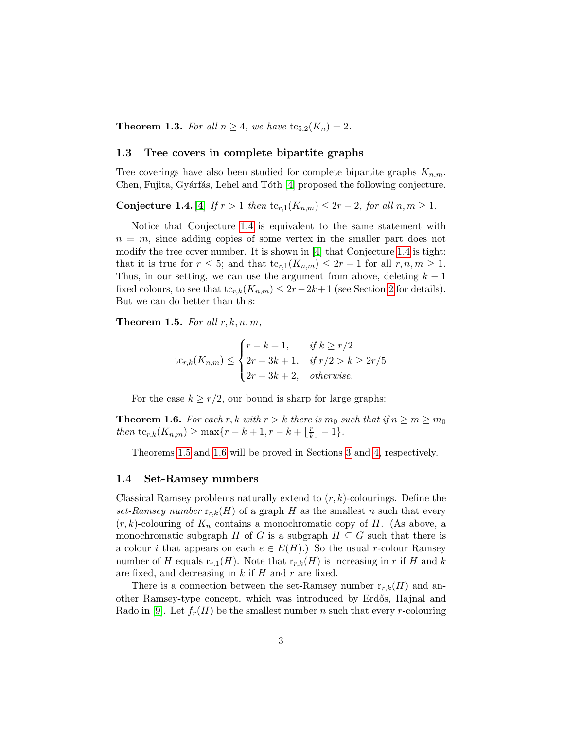<span id="page-2-3"></span>**Theorem 1.3.** For all  $n \geq 4$ , we have  $tc_{5,2}(K_n) = 2$ .

#### 1.3 Tree covers in complete bipartite graphs

Tree coverings have also been studied for complete bipartite graphs  $K_{n,m}$ . Chen, Fujita, Gyárfás, Lehel and Tóth [\[4\]](#page-20-3) proposed the following conjecture.

<span id="page-2-0"></span>Conjecture 1.4. [\[4\]](#page-20-3) If  $r > 1$  then  $\mathrm{tc}_{r,1}(K_{n,m}) \leq 2r - 2$ , for all  $n, m \geq 1$ .

Notice that Conjecture [1.4](#page-2-0) is equivalent to the same statement with  $n = m$ , since adding copies of some vertex in the smaller part does not modify the tree cover number. It is shown in [\[4\]](#page-20-3) that Conjecture [1.4](#page-2-0) is tight; that it is true for  $r \leq 5$ ; and that  $tc_{r,1}(K_{n,m}) \leq 2r - 1$  for all  $r, n, m \geq 1$ . Thus, in our setting, we can use the argument from above, deleting  $k - 1$ fixed colours, to see that  $tc_{r,k}(K_{n,m}) \leq 2r-2k+1$  $tc_{r,k}(K_{n,m}) \leq 2r-2k+1$  $tc_{r,k}(K_{n,m}) \leq 2r-2k+1$  (see Section 2 for details). But we can do better than this:

<span id="page-2-1"></span>**Theorem 1.5.** For all  $r, k, n, m$ ,

$$
\mathrm{tc}_{r,k}(K_{n,m}) \leq \begin{cases} r - k + 1, & \text{if } k \geq r/2 \\ 2r - 3k + 1, & \text{if } r/2 > k \geq 2r/5 \\ 2r - 3k + 2, & \text{otherwise.} \end{cases}
$$

For the case  $k \geq r/2$ , our bound is sharp for large graphs:

<span id="page-2-2"></span>**Theorem 1.6.** For each r, k with  $r > k$  there is  $m_0$  such that if  $n \ge m \ge m_0$ then  $\mathrm{tc}_{r,k}(K_{n,m}) \geq \max\{r-k+1, r-k+\lfloor\frac{r}{k}\rfloor\}$  $\frac{r}{k}$ ] – 1}.

Theorems [1.5](#page-2-1) and [1.6](#page-2-2) will be proved in Sections [3](#page-6-1) and [4,](#page-9-0) respectively.

#### 1.4 Set-Ramsey numbers

Classical Ramsey problems naturally extend to  $(r, k)$ -colourings. Define the set-Ramsey number  $r_{r,k}(H)$  of a graph H as the smallest n such that every  $(r, k)$ -colouring of  $K_n$  contains a monochromatic copy of H. (As above, a monochromatic subgraph H of G is a subgraph  $H \subseteq G$  such that there is a colour *i* that appears on each  $e \in E(H)$ .) So the usual r-colour Ramsey number of H equals  $r_{r,1}(H)$ . Note that  $r_{r,k}(H)$  is increasing in r if H and k are fixed, and decreasing in  $k$  if  $H$  and  $r$  are fixed.

There is a connection between the set-Ramsey number  $r_{r,k}(H)$  and another Ramsey-type concept, which was introduced by Erd˝os, Hajnal and Rado in [\[9\]](#page-21-6). Let  $f_r(H)$  be the smallest number n such that every r-colouring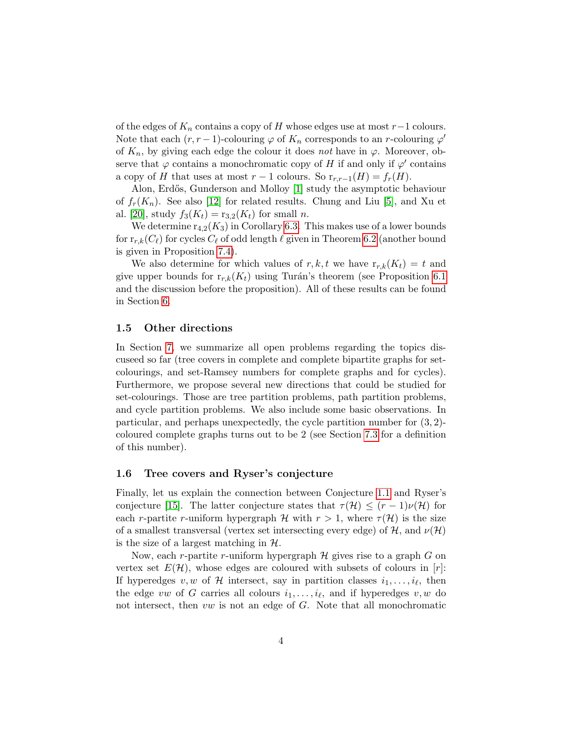of the edges of  $K_n$  contains a copy of H whose edges use at most  $r-1$  colours. Note that each  $(r, r - 1)$ -colouring  $\varphi$  of  $K_n$  corresponds to an r-colouring  $\varphi'$ of  $K_n$ , by giving each edge the colour it does not have in  $\varphi$ . Moreover, observe that  $\varphi$  contains a monochromatic copy of H if and only if  $\varphi'$  contains a copy of H that uses at most  $r-1$  colours. So  $r_{r,r-1}(H) = f_r(H)$ .

Alon, Erdős, Gunderson and Molloy [\[1\]](#page-20-4) study the asymptotic behaviour of  $f_r(K_n)$ . See also [\[12\]](#page-21-7) for related results. Chung and Liu [\[5\]](#page-20-5), and Xu et al. [\[20\]](#page-22-0), study  $f_3(K_t) = r_{3,2}(K_t)$  for small n.

We determine  $r_{4,2}(K_3)$  in Corollary [6.3.](#page-16-0) This makes use of a lower bounds for  $r_{r,k}(C_\ell)$  for cycles  $C_\ell$  of odd length  $\ell$  given in Theorem [6.2](#page-16-1) (another bound is given in Proposition [7.4\)](#page-19-0).

We also determine for which values of r, k, t we have  $r_{r,k}(K_t) = t$  and give upper bounds for  $r_{r,k}(K_t)$  using Turán's theorem (see Proposition [6.1](#page-16-2)) and the discussion before the proposition). All of these results can be found in Section [6.](#page-15-0)

## 1.5 Other directions

In Section [7,](#page-17-0) we summarize all open problems regarding the topics discuseed so far (tree covers in complete and complete bipartite graphs for setcolourings, and set-Ramsey numbers for complete graphs and for cycles). Furthermore, we propose several new directions that could be studied for set-colourings. Those are tree partition problems, path partition problems, and cycle partition problems. We also include some basic observations. In particular, and perhaps unexpectedly, the cycle partition number for (3, 2) coloured complete graphs turns out to be 2 (see Section [7.3](#page-18-0) for a definition of this number).

## 1.6 Tree covers and Ryser's conjecture

Finally, let us explain the connection between Conjecture [1.1](#page-1-0) and Ryser's conjecture [\[15\]](#page-21-8). The latter conjecture states that  $\tau(\mathcal{H}) \leq (r-1)\nu(\mathcal{H})$  for each r-partite r-uniform hypergraph H with  $r > 1$ , where  $\tau(\mathcal{H})$  is the size of a smallest transversal (vertex set intersecting every edge) of  $\mathcal{H}$ , and  $\nu(\mathcal{H})$ is the size of a largest matching in  $H$ .

Now, each r-partite r-uniform hypergraph  $\mathcal H$  gives rise to a graph  $G$  on vertex set  $E(\mathcal{H})$ , whose edges are coloured with subsets of colours in [r]: If hyperedges  $v, w$  of  $H$  intersect, say in partition classes  $i_1, \ldots, i_\ell$ , then the edge vw of G carries all colours  $i_1, \ldots, i_\ell$ , and if hyperedges  $v, w$  do not intersect, then  $vw$  is not an edge of  $G$ . Note that all monochromatic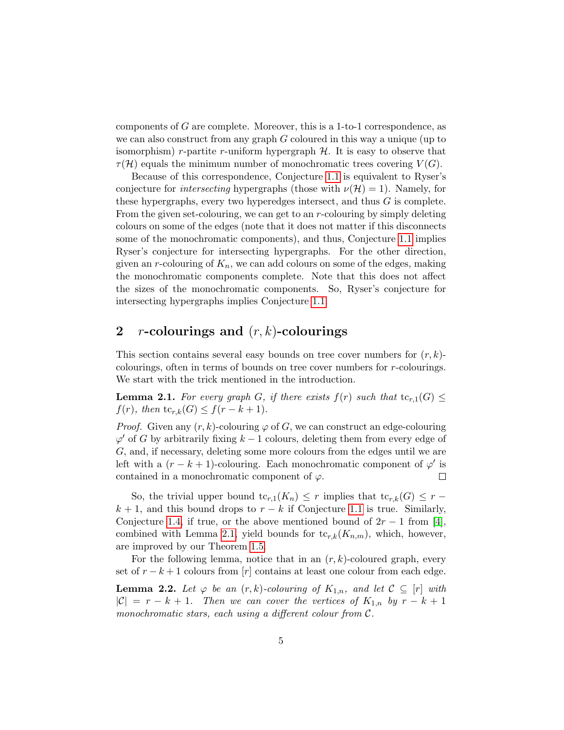components of G are complete. Moreover, this is a 1-to-1 correspondence, as we can also construct from any graph  $G$  coloured in this way a unique (up to isomorphism) r-partite r-uniform hypergraph  $H$ . It is easy to observe that  $\tau(\mathcal{H})$  equals the minimum number of monochromatic trees covering  $V(G)$ .

Because of this correspondence, Conjecture [1.1](#page-1-0) is equivalent to Ryser's conjecture for *intersecting* hypergraphs (those with  $\nu(\mathcal{H}) = 1$ ). Namely, for these hypergraphs, every two hyperedges intersect, and thus G is complete. From the given set-colouring, we can get to an  $r$ -colouring by simply deleting colours on some of the edges (note that it does not matter if this disconnects some of the monochromatic components), and thus, Conjecture [1.1](#page-1-0) implies Ryser's conjecture for intersecting hypergraphs. For the other direction, given an r-colouring of  $K_n$ , we can add colours on some of the edges, making the monochromatic components complete. Note that this does not affect the sizes of the monochromatic components. So, Ryser's conjecture for intersecting hypergraphs implies Conjecture [1.1.](#page-1-0)

# <span id="page-4-0"></span>2 *r*-colourings and  $(r, k)$ -colourings

This section contains several easy bounds on tree cover numbers for  $(r, k)$ colourings, often in terms of bounds on tree cover numbers for r-colourings. We start with the trick mentioned in the introduction.

<span id="page-4-1"></span>**Lemma 2.1.** For every graph G, if there exists  $f(r)$  such that  $tc_{r,1}(G) \leq$  $f(r)$ , then tc<sub>r,k</sub>(G)  $\leq f(r-k+1)$ .

*Proof.* Given any  $(r, k)$ -colouring  $\varphi$  of G, we can construct an edge-colouring  $\varphi'$  of G by arbitrarily fixing  $k-1$  colours, deleting them from every edge of G, and, if necessary, deleting some more colours from the edges until we are left with a  $(r - k + 1)$ -colouring. Each monochromatic component of  $\varphi'$  is contained in a monochromatic component of  $\varphi$ .  $\Box$ 

So, the trivial upper bound tc<sub>r,1</sub>(K<sub>n</sub>)  $\leq r$  implies that tc<sub>r,k</sub>(G)  $\leq r$  –  $k + 1$ , and this bound drops to  $r - k$  if Conjecture [1.1](#page-1-0) is true. Similarly, Conjecture [1.4,](#page-2-0) if true, or the above mentioned bound of  $2r - 1$  from [\[4\]](#page-20-3), combined with Lemma [2.1,](#page-4-1) yield bounds for  $\text{tc}_{r,k}(K_{n,m})$ , which, however, are improved by our Theorem [1.5.](#page-2-1)

For the following lemma, notice that in an  $(r, k)$ -coloured graph, every set of  $r - k + 1$  colours from [r] contains at least one colour from each edge.

<span id="page-4-2"></span>**Lemma 2.2.** Let  $\varphi$  be an  $(r, k)$ -colouring of  $K_{1,n}$ , and let  $\mathcal{C} \subseteq [r]$  with  $|\mathcal{C}| = r - k + 1$ . Then we can cover the vertices of  $K_{1,n}$  by  $r - k + 1$ monochromatic stars, each using a different colour from  $\mathcal{C}.$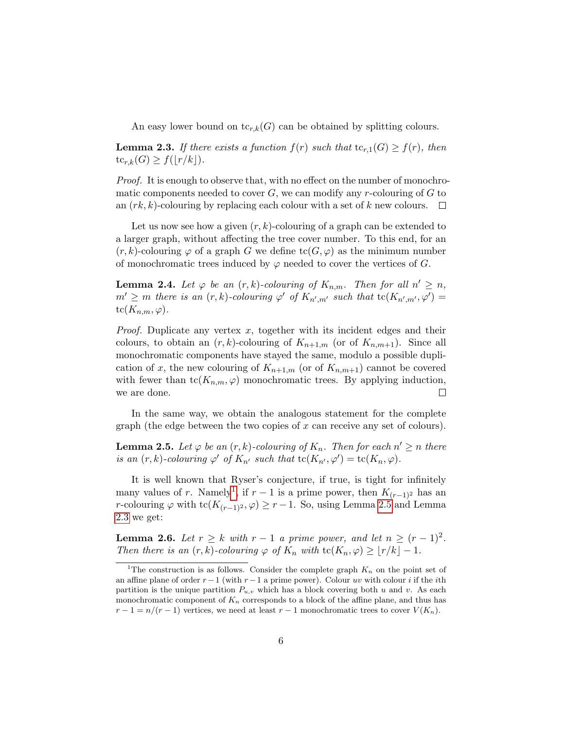An easy lower bound on  $\text{tc}_{r,k}(G)$  can be obtained by splitting colours.

<span id="page-5-2"></span>**Lemma 2.3.** If there exists a function  $f(r)$  such that  $tc_{r,1}(G) \geq f(r)$ , then  $tc_{r,k}(G) \geq f(\lfloor r/k \rfloor).$ 

*Proof.* It is enough to observe that, with no effect on the number of monochromatic components needed to cover  $G$ , we can modify any r-colouring of  $G$  to an  $(rk, k)$ -colouring by replacing each colour with a set of k new colours.  $\square$ 

Let us now see how a given  $(r, k)$ -colouring of a graph can be extended to a larger graph, without affecting the tree cover number. To this end, for an  $(r, k)$ -colouring  $\varphi$  of a graph G we define  $tc(G, \varphi)$  as the minimum number of monochromatic trees induced by  $\varphi$  needed to cover the vertices of G.

<span id="page-5-3"></span>**Lemma 2.4.** Let  $\varphi$  be an  $(r, k)$ -colouring of  $K_{n,m}$ . Then for all  $n' \geq n$ ,  $m' \geq m$  there is an  $(r, k)$ -colouring  $\varphi'$  of  $K_{n', m'}$  such that  $\text{tc}(K_{n', m'}, \varphi') =$  $tc(K_{n,m}, \varphi).$ 

*Proof.* Duplicate any vertex  $x$ , together with its incident edges and their colours, to obtain an  $(r, k)$ -colouring of  $K_{n+1,m}$  (or of  $K_{n,m+1}$ ). Since all monochromatic components have stayed the same, modulo a possible duplication of x, the new colouring of  $K_{n+1,m}$  (or of  $K_{n,m+1}$ ) cannot be covered with fewer than  $\mathrm{tc}(K_{n,m}, \varphi)$  monochromatic trees. By applying induction, we are done.  $\Box$ 

In the same way, we obtain the analogous statement for the complete graph (the edge between the two copies of  $x$  can receive any set of colours).

<span id="page-5-1"></span>**Lemma 2.5.** Let  $\varphi$  be an  $(r, k)$ -colouring of  $K_n$ . Then for each  $n' \geq n$  there is an  $(r, k)$ -colouring  $\varphi'$  of  $K_{n'}$  such that  $\operatorname{tc}(K_{n'}, \varphi') = \operatorname{tc}(K_n, \varphi)$ .

It is well known that Ryser's conjecture, if true, is tight for infinitely many values of r. Namely<sup>[1](#page-5-0)</sup>, if  $r-1$  is a prime power, then  $K_{(r-1)^2}$  has an r-colouring  $\varphi$  with tc( $K_{(r-1)^2}, \varphi$ ) ≥ r – 1. So, using Lemma [2.5](#page-5-1) and Lemma [2.3](#page-5-2) we get:

<span id="page-5-4"></span>**Lemma 2.6.** Let  $r \geq k$  with  $r-1$  a prime power, and let  $n \geq (r-1)^2$ . Then there is an  $(r, k)$ -colouring  $\varphi$  of  $K_n$  with  $\text{tc}(K_n, \varphi) \geq |r/k| - 1$ .

<span id="page-5-0"></span><sup>&</sup>lt;sup>1</sup>The construction is as follows. Consider the complete graph  $K_n$  on the point set of an affine plane of order  $r-1$  (with  $r-1$  a prime power). Colour uv with colour i if the ith partition is the unique partition  $P_{u,v}$  which has a block covering both u and v. As each monochromatic component of  $K_n$  corresponds to a block of the affine plane, and thus has  $r-1 = n/(r-1)$  vertices, we need at least  $r-1$  monochromatic trees to cover  $V(K_n)$ .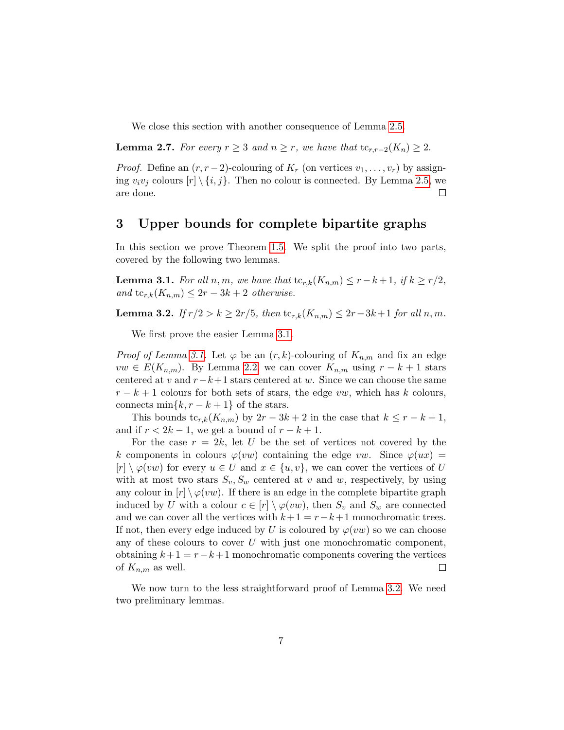We close this section with another consequence of Lemma [2.5.](#page-5-1)

<span id="page-6-0"></span>**Lemma 2.7.** For every  $r \geq 3$  and  $n \geq r$ , we have that  $\text{tc}_{r,r-2}(K_n) \geq 2$ .

*Proof.* Define an  $(r, r-2)$ -colouring of  $K_r$  (on vertices  $v_1, \ldots, v_r$ ) by assigning  $v_i v_j$  colours  $[r] \setminus \{i, j\}$ . Then no colour is connected. By Lemma [2.5,](#page-5-1) we are done.  $\Box$ 

# <span id="page-6-1"></span>3 Upper bounds for complete bipartite graphs

In this section we prove Theorem [1.5.](#page-2-1) We split the proof into two parts, covered by the following two lemmas.

<span id="page-6-2"></span>**Lemma 3.1.** For all n, m, we have that  $\text{tc}_{r,k}(K_{n,m}) \leq r - k + 1$ , if  $k \geq r/2$ , and  $\text{tc}_{r,k}(K_{n,m}) \leq 2r - 3k + 2$  otherwise.

<span id="page-6-3"></span>**Lemma 3.2.** If  $r/2 > k ≥ 2r/5$ , then  $\text{tc}_{r,k}(K_{n,m}) ≤ 2r-3k+1$  for all n, m.

We first prove the easier Lemma [3.1.](#page-6-2)

*Proof of Lemma [3.1.](#page-6-2)* Let  $\varphi$  be an  $(r, k)$ -colouring of  $K_{n,m}$  and fix an edge  $vw \in E(K_{n,m})$ . By Lemma [2.2,](#page-4-2) we can cover  $K_{n,m}$  using  $r - k + 1$  stars centered at v and  $r-k+1$  stars centered at w. Since we can choose the same  $r - k + 1$  colours for both sets of stars, the edge vw, which has k colours, connects min $\{k, r - k + 1\}$  of the stars.

This bounds tc<sub>r,k</sub>( $K_{n,m}$ ) by 2r – 3k + 2 in the case that  $k \leq r - k + 1$ , and if  $r < 2k - 1$ , we get a bound of  $r - k + 1$ .

For the case  $r = 2k$ , let U be the set of vertices not covered by the k components in colours  $\varphi(vw)$  containing the edge vw. Since  $\varphi(ux)$  =  $[r] \setminus \varphi(vw)$  for every  $u \in U$  and  $x \in \{u, v\}$ , we can cover the vertices of U with at most two stars  $S_v$ ,  $S_w$  centered at v and w, respectively, by using any colour in  $[r] \setminus \varphi(vw)$ . If there is an edge in the complete bipartite graph induced by U with a colour  $c \in [r] \setminus \varphi(vw)$ , then  $S_v$  and  $S_w$  are connected and we can cover all the vertices with  $k+1 = r-k+1$  monochromatic trees. If not, then every edge induced by U is coloured by  $\varphi(vw)$  so we can choose any of these colours to cover  $U$  with just one monochromatic component, obtaining  $k+1 = r-k+1$  monochromatic components covering the vertices of  $K_{n,m}$  as well.  $\Box$ 

<span id="page-6-4"></span>We now turn to the less straightforward proof of Lemma [3.2.](#page-6-3) We need two preliminary lemmas.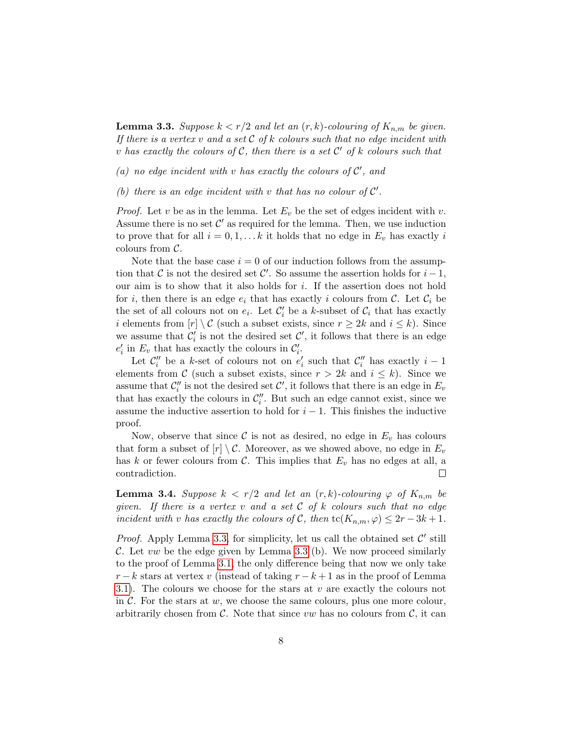**Lemma 3.3.** Suppose  $k < r/2$  and let an  $(r, k)$ -colouring of  $K_{n,m}$  be given. If there is a vertex v and a set  $\mathcal C$  of k colours such that no edge incident with v has exactly the colours of C, then there is a set  $\mathcal{C}'$  of k colours such that

(a) no edge incident with v has exactly the colours of  $\mathcal{C}'$ , and

## (b) there is an edge incident with  $v$  that has no colour of  $C'$ .

*Proof.* Let v be as in the lemma. Let  $E_v$  be the set of edges incident with v. Assume there is no set  $\mathcal{C}'$  as required for the lemma. Then, we use induction to prove that for all  $i = 0, 1, \ldots k$  it holds that no edge in  $E_v$  has exactly i colours from  $\mathcal{C}$ .

Note that the base case  $i = 0$  of our induction follows from the assumption that C is not the desired set C'. So assume the assertion holds for  $i-1$ , our aim is to show that it also holds for i. If the assertion does not hold for *i*, then there is an edge  $e_i$  that has exactly *i* colours from C. Let  $\mathcal{C}_i$  be the set of all colours not on  $e_i$ . Let  $\mathcal{C}'_i$  be a k-subset of  $\mathcal{C}_i$  that has exactly i elements from  $[r] \setminus \mathcal{C}$  (such a subset exists, since  $r \geq 2k$  and  $i \leq k$ ). Since we assume that  $\mathcal{C}'_i$  is not the desired set  $\mathcal{C}'$ , it follows that there is an edge  $e'_i$  in  $E_v$  that has exactly the colours in  $\mathcal{C}'_i$ .

Let  $\mathcal{C}''_i$  be a k-set of colours not on  $e'_i$  such that  $\mathcal{C}''_i$  has exactly  $i-1$ elements from C (such a subset exists, since  $r > 2k$  and  $i \leq k$ ). Since we assume that  $\mathcal{C}''_i$  is not the desired set  $\mathcal{C}'$ , it follows that there is an edge in  $E_v$ that has exactly the colours in  $\mathcal{C}''_i$ . But such an edge cannot exist, since we assume the inductive assertion to hold for  $i - 1$ . This finishes the inductive proof.

Now, observe that since  $\mathcal C$  is not as desired, no edge in  $E_v$  has colours that form a subset of  $[r] \setminus C$ . Moreover, as we showed above, no edge in  $E_v$ has k or fewer colours from C. This implies that  $E_v$  has no edges at all, a  $\Box$ contradiction.

<span id="page-7-0"></span>**Lemma 3.4.** Suppose  $k < r/2$  and let an  $(r, k)$ -colouring  $\varphi$  of  $K_{n,m}$  be given. If there is a vertex  $v$  and a set  $C$  of  $k$  colours such that no edge incident with v has exactly the colours of C, then  $\mathrm{tc}(K_{n,m}, \varphi) \leq 2r - 3k + 1$ .

*Proof.* Apply Lemma [3.3,](#page-6-4) for simplicity, let us call the obtained set  $\mathcal{C}'$  still C. Let vw be the edge given by Lemma [3.3](#page-6-4) (b). We now proceed similarly to the proof of Lemma [3.1,](#page-6-2) the only difference being that now we only take  $r - k$  stars at vertex v (instead of taking  $r - k + 1$  as in the proof of Lemma [3.1\)](#page-6-2). The colours we choose for the stars at  $v$  are exactly the colours not in  $\mathcal{C}$ . For the stars at  $w$ , we choose the same colours, plus one more colour, arbitrarily chosen from  $C$ . Note that since vw has no colours from  $C$ , it can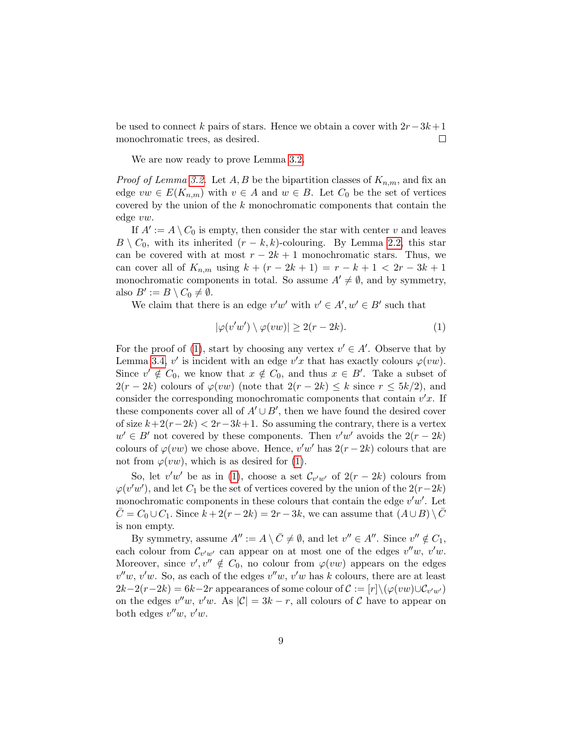be used to connect k pairs of stars. Hence we obtain a cover with  $2r-3k+1$ monochromatic trees, as desired.  $\Box$ 

We are now ready to prove Lemma [3.2.](#page-6-3)

*Proof of Lemma [3.2.](#page-6-3)* Let A, B be the bipartition classes of  $K_{n,m}$ , and fix an edge  $vw \in E(K_{n,m})$  with  $v \in A$  and  $w \in B$ . Let  $C_0$  be the set of vertices covered by the union of the k monochromatic components that contain the edge vw.

If  $A' := A \setminus C_0$  is empty, then consider the star with center v and leaves  $B \setminus C_0$ , with its inherited  $(r - k, k)$ -colouring. By Lemma [2.2,](#page-4-2) this star can be covered with at most  $r - 2k + 1$  monochromatic stars. Thus, we can cover all of  $K_{n,m}$  using  $k + (r - 2k + 1) = r - k + 1 < 2r - 3k + 1$ monochromatic components in total. So assume  $A' \neq \emptyset$ , and by symmetry, also  $B' := B \setminus C_0 \neq \emptyset$ .

We claim that there is an edge  $v'w'$  with  $v' \in A', w' \in B'$  such that

<span id="page-8-0"></span>
$$
|\varphi(v'w') \setminus \varphi(vw)| \ge 2(r - 2k). \tag{1}
$$

For the proof of [\(1\)](#page-8-0), start by choosing any vertex  $v' \in A'$ . Observe that by Lemma [3.4,](#page-7-0) v' is incident with an edge  $v'x$  that has exactly colours  $\varphi(vw)$ . Since  $v' \notin C_0$ , we know that  $x \notin C_0$ , and thus  $x \in B'$ . Take a subset of  $2(r-2k)$  colours of  $\varphi(vw)$  (note that  $2(r-2k) \leq k$  since  $r \leq 5k/2$ ), and consider the corresponding monochromatic components that contain  $v'x$ . If these components cover all of  $A' \cup B'$ , then we have found the desired cover of size  $k+2(r-2k) < 2r-3k+1$ . So assuming the contrary, there is a vertex  $w' \in B'$  not covered by these components. Then  $v'w'$  avoids the  $2(r-2k)$ colours of  $\varphi(vw)$  we chose above. Hence,  $v'w'$  has  $2(r-2k)$  colours that are not from  $\varphi(vw)$ , which is as desired for [\(1\)](#page-8-0).

So, let  $v'w'$  be as in [\(1\)](#page-8-0), choose a set  $\mathcal{C}_{v'w'}$  of  $2(r-2k)$  colours from  $\varphi(v'w')$ , and let  $C_1$  be the set of vertices covered by the union of the  $2(r-2k)$ monochromatic components in these colours that contain the edge  $v'w'$ . Let  $C = C_0 \cup C_1$ . Since  $k + 2(r - 2k) = 2r - 3k$ , we can assume that  $(A \cup B) \setminus C$ is non empty.

By symmetry, assume  $A'' := A \setminus \overline{C} \neq \emptyset$ , and let  $v'' \in A''$ . Since  $v'' \notin C_1$ , each colour from  $\mathcal{C}_{v'w'}$  can appear on at most one of the edges  $v''w$ ,  $v'w$ . Moreover, since  $v', v'' \notin C_0$ , no colour from  $\varphi(vw)$  appears on the edges  $v''w$ ,  $v'w$ . So, as each of the edges  $v''w$ ,  $v'w$  has k colours, there are at least  $2k-2(r-2k)=6k-2r$  appearances of some colour of  $\mathcal{C}:=[r]\backslash(\varphi(vw)\cup\mathcal{C}_{v'w'})$ on the edges  $v''w$ ,  $v'w$ . As  $|\mathcal{C}| = 3k - r$ , all colours of C have to appear on both edges  $v''w$ ,  $v'w$ .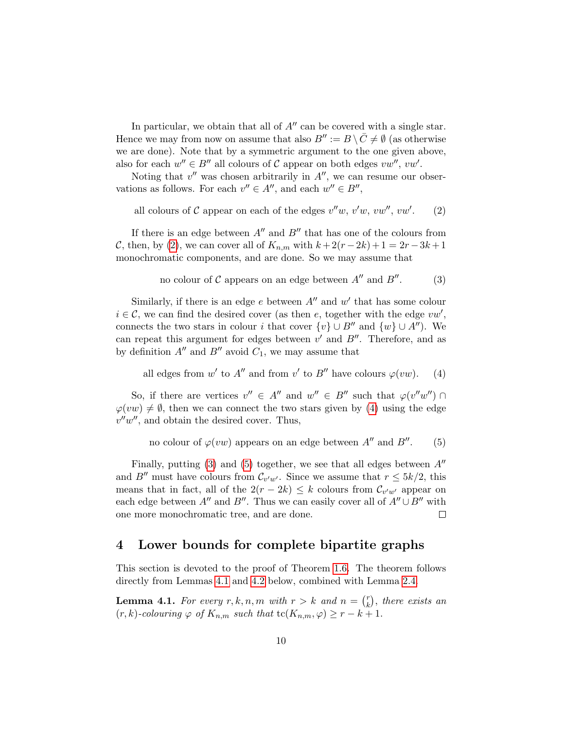In particular, we obtain that all of  $A''$  can be covered with a single star. Hence we may from now on assume that also  $B'' := B \setminus \overline{C} \neq \emptyset$  (as otherwise we are done). Note that by a symmetric argument to the one given above, also for each  $w'' \in B''$  all colours of C appear on both edges  $vw'', vw'.$ 

Noting that  $v''$  was chosen arbitrarily in  $A''$ , we can resume our observations as follows. For each  $v'' \in A''$ , and each  $w'' \in B''$ ,

<span id="page-9-1"></span>all colours of C appear on each of the edges  $v''w$ ,  $v'w$ ,  $vw''$ ,  $vw'$ . (2)

If there is an edge between  $A''$  and  $B''$  that has one of the colours from C, then, by [\(2\)](#page-9-1), we can cover all of  $K_{n,m}$  with  $k + 2(r - 2k) + 1 = 2r - 3k + 1$ monochromatic components, and are done. So we may assume that

> <span id="page-9-3"></span>no colour of  $\mathcal C$  appears on an edge between  $A''$  and  $B$  $(3)$

Similarly, if there is an edge  $e$  between  $A''$  and  $w'$  that has some colour  $i \in \mathcal{C}$ , we can find the desired cover (as then e, together with the edge  $vw'$ , connects the two stars in colour *i* that cover  $\{v\} \cup B''$  and  $\{w\} \cup A''$ ). We can repeat this argument for edges between  $v'$  and  $B''$ . Therefore, and as by definition  $A''$  and  $B''$  avoid  $C_1$ , we may assume that

<span id="page-9-2"></span>all edges from w' to A'' and from v' to B'' have colours  $\varphi(vw)$ . (4)

So, if there are vertices  $v'' \in A''$  and  $w'' \in B''$  such that  $\varphi(v''w'') \cap$  $\varphi(vw) \neq \emptyset$ , then we can connect the two stars given by [\(4\)](#page-9-2) using the edge  $v''w''$ , and obtain the desired cover. Thus,

> <span id="page-9-4"></span>no colour of  $\varphi(vw)$  appears on an edge between  $A''$  and  $B$  $(5)$

Finally, putting [\(3\)](#page-9-3) and [\(5\)](#page-9-4) together, we see that all edges between  $A''$ and B'' must have colours from  $\mathcal{C}_{v'w'}$ . Since we assume that  $r \leq 5k/2$ , this means that in fact, all of the  $2(r - 2k) \leq k$  colours from  $\mathcal{C}_{v'w'}$  appear on each edge between A<sup> $\prime\prime$ </sup> and B<sup> $\prime\prime$ </sup>. Thus we can easily cover all of A $\prime\prime\cup B^{\prime\prime}$  with one more monochromatic tree, and are done.  $\Box$ 

## <span id="page-9-0"></span>4 Lower bounds for complete bipartite graphs

This section is devoted to the proof of Theorem [1.6.](#page-2-2) The theorem follows directly from Lemmas [4.1](#page-9-5) and [4.2](#page-10-0) below, combined with Lemma [2.4.](#page-5-3)

<span id="page-9-5"></span>**Lemma 4.1.** For every  $r, k, n, m$  with  $r > k$  and  $n = \binom{r}{k}$  $\binom{r}{k}$ , there exists an  $(r, k)$ -colouring  $\varphi$  of  $K_{n,m}$  such that  $\mathrm{tc}(K_{n,m}, \varphi) \geq r - k + 1$ .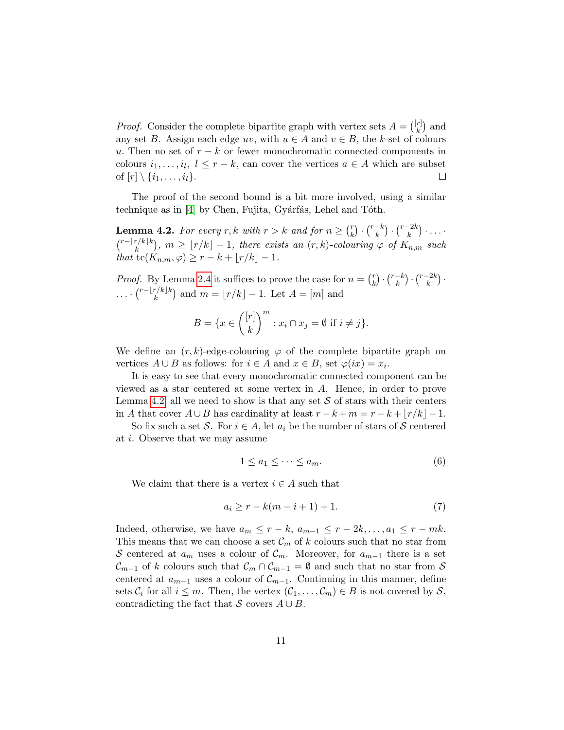*Proof.* Consider the complete bipartite graph with vertex sets  $A = \begin{pmatrix} [r] \\ k \end{pmatrix}$  $\binom{r}{k}$  and any set B. Assign each edge uv, with  $u \in A$  and  $v \in B$ , the k-set of colours u. Then no set of  $r - k$  or fewer monochromatic connected components in colours  $i_1, \ldots, i_l, l \leq r - k$ , can cover the vertices  $a \in A$  which are subset of  $[r] \setminus \{i_1, \ldots, i_l\}.$  $\Box$ 

The proof of the second bound is a bit more involved, using a similar technique as in [\[4\]](#page-20-3) by Chen, Fujita, Gyárfás, Lehel and Tóth.

<span id="page-10-0"></span>**Lemma 4.2.** For every r, k with  $r > k$  and for  $n \geq {r \choose k}$  $\binom{r}{k} \cdot \binom{r-k}{k}$  $\binom{-k}{k} \cdot \binom{r-2k}{k}$  $\binom{k}{k} \cdot \ldots \cdot$  $\binom{r-\lfloor r/k\rfloor k}{k}$  $\binom{r}{k} k$ ,  $m \geq \lfloor r/k \rfloor - 1$ , there exists an  $(r, k)$ -colouring  $\varphi$  of  $K_{n,m}$  such that tc( $K_{n,m}, \varphi$ ) ≥  $r - k + \lfloor r/k \rfloor - 1$ .

*Proof.* By Lemma [2.4](#page-5-3) it suffices to prove the case for  $n = \binom{r}{k}$  $\binom{r}{k} \cdot \binom{r-k}{k}$  $\binom{-k}{k} \cdot \binom{r-2k}{k}$  $\binom{-2k}{k}$  .  $\cdots\binom{r-\lfloor r/k\rfloor k}{k}$  $\binom{r}{k}$  and  $m = \lfloor r/k \rfloor - 1$ . Let  $A = [m]$  and

$$
B = \{ x \in \binom{[r]}{k}^m : x_i \cap x_j = \emptyset \text{ if } i \neq j \}.
$$

We define an  $(r, k)$ -edge-colouring  $\varphi$  of the complete bipartite graph on vertices  $A \cup B$  as follows: for  $i \in A$  and  $x \in B$ , set  $\varphi(ix) = x_i$ .

It is easy to see that every monochromatic connected component can be viewed as a star centered at some vertex in A. Hence, in order to prove Lemma [4.2,](#page-10-0) all we need to show is that any set  $S$  of stars with their centers in A that cover  $A \cup B$  has cardinality at least  $r - k + m = r - k + |r/k| - 1$ .

So fix such a set S. For  $i \in A$ , let  $a_i$  be the number of stars of S centered at i. Observe that we may assume

<span id="page-10-1"></span>
$$
1 \le a_1 \le \dots \le a_m. \tag{6}
$$

We claim that there is a vertex  $i \in A$  such that

<span id="page-10-2"></span>
$$
a_i \ge r - k(m - i + 1) + 1. \tag{7}
$$

Indeed, otherwise, we have  $a_m \leq r - k$ ,  $a_{m-1} \leq r - 2k, \ldots, a_1 \leq r - mk$ . This means that we can choose a set  $\mathcal{C}_m$  of k colours such that no star from S centered at  $a_m$  uses a colour of  $\mathcal{C}_m$ . Moreover, for  $a_{m-1}$  there is a set  $\mathcal{C}_{m-1}$  of k colours such that  $\mathcal{C}_m \cap \mathcal{C}_{m-1} = \emptyset$  and such that no star from S centered at  $a_{m-1}$  uses a colour of  $\mathcal{C}_{m-1}$ . Continuing in this manner, define sets  $\mathcal{C}_i$  for all  $i \leq m$ . Then, the vertex  $(\mathcal{C}_1, \ldots, \mathcal{C}_m) \in B$  is not covered by  $\mathcal{S}_i$ , contradicting the fact that S covers  $A \cup B$ .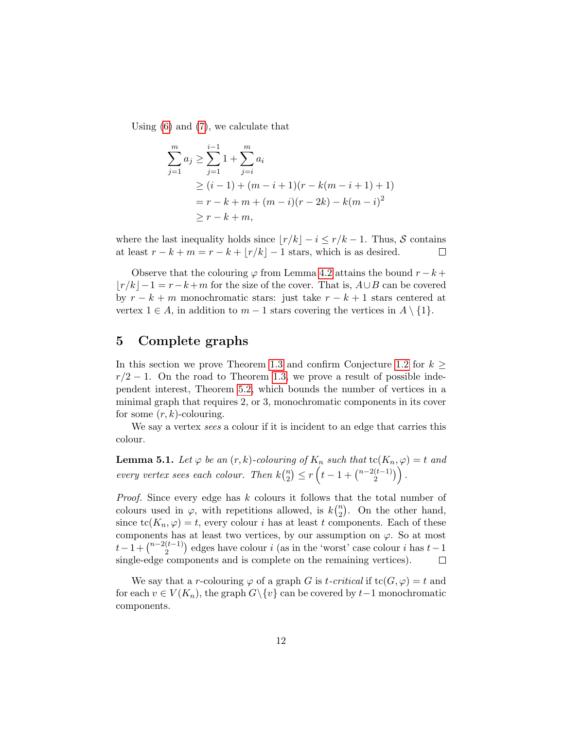Using [\(6\)](#page-10-1) and [\(7\)](#page-10-2), we calculate that

$$
\sum_{j=1}^{m} a_j \ge \sum_{j=1}^{i-1} 1 + \sum_{j=i}^{m} a_i
$$
  
\n
$$
\ge (i-1) + (m-i+1)(r - k(m-i+1) + 1)
$$
  
\n
$$
= r - k + m + (m-i)(r - 2k) - k(m-i)^2
$$
  
\n
$$
\ge r - k + m,
$$

where the last inequality holds since  $\lfloor r/k \rfloor - i \leq r/k - 1$ . Thus, S contains at least  $r - k + m = r - k + \lfloor r/k \rfloor - 1$  stars, which is as desired.  $\Box$ 

Observe that the colouring  $\varphi$  from Lemma [4.2](#page-10-0) attains the bound  $r - k +$  $|r/k|-1 = r-k+m$  for the size of the cover. That is,  $A\cup B$  can be covered by  $r - k + m$  monochromatic stars: just take  $r - k + 1$  stars centered at vertex  $1 \in A$ , in addition to  $m-1$  stars covering the vertices in  $A \setminus \{1\}$ .

# <span id="page-11-0"></span>5 Complete graphs

In this section we prove Theorem [1.3](#page-2-3) and confirm Conjecture [1.2](#page-1-1) for  $k \geq$  $r/2 - 1$ . On the road to Theorem [1.3,](#page-2-3) we prove a result of possible independent interest, Theorem [5.2,](#page-12-0) which bounds the number of vertices in a minimal graph that requires 2, or 3, monochromatic components in its cover for some  $(r, k)$ -colouring.

We say a vertex *sees* a colour if it is incident to an edge that carries this colour.

<span id="page-11-1"></span>**Lemma 5.1.** Let  $\varphi$  be an  $(r, k)$ -colouring of  $K_n$  such that  $\text{tc}(K_n, \varphi) = t$  and every vertex sees each colour. Then  $k\binom{n}{2}$  $\binom{n}{2} \leq r \left( t - 1 + \binom{n-2(t-1)}{2} \right)$  $\binom{(t-1)}{2}$ .

Proof. Since every edge has k colours it follows that the total number of colours used in  $\varphi$ , with repetitions allowed, is  $k\binom{n}{2}$  $n_2$ ). On the other hand, since  $\mathrm{tc}(K_n, \varphi) = t$ , every colour i has at least t components. Each of these components has at least two vertices, by our assumption on  $\varphi$ . So at most  $t-1+\binom{n-2(t-1)}{2}$  $\binom{(t-1)}{2}$  edges have colour *i* (as in the 'worst' case colour *i* has  $t-1$ single-edge components and is complete on the remaining vertices).  $\Box$ 

We say that a r-colouring  $\varphi$  of a graph G is t-critical if  $tc(G, \varphi) = t$  and for each  $v \in V(K_n)$ , the graph  $G \backslash \{v\}$  can be covered by  $t-1$  monochromatic components.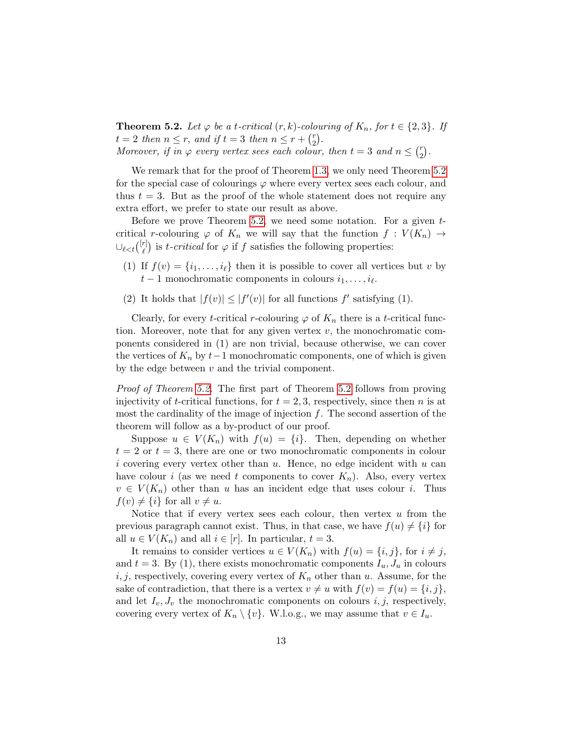<span id="page-12-0"></span>**Theorem 5.2.** Let  $\varphi$  be a t-critical  $(r, k)$ -colouring of  $K_n$ , for  $t \in \{2, 3\}$ . If  $t = 2$  then  $n \leq r$ , and if  $t = 3$  then  $n \leq r + \binom{r}{2}$  $_{2}^{r}).$ Moreover, if in  $\varphi$  every vertex sees each colour, then  $t=3$  and  $n \leq {r \choose 2}$  $\binom{r}{2}$ .

We remark that for the proof of Theorem [1.3,](#page-2-3) we only need Theorem [5.2](#page-12-0) for the special case of colourings  $\varphi$  where every vertex sees each colour, and thus  $t = 3$ . But as the proof of the whole statement does not require any extra effort, we prefer to state our result as above.

Before we prove Theorem [5.2,](#page-12-0) we need some notation. For a given  $t$ critical r-colouring  $\varphi$  of  $K_n$  we will say that the function  $f: V(K_n) \to$  $\cup_{\ell < t}\binom{[r]}{\ell}$  $\binom{r}{\ell}$  is t-critical for  $\varphi$  if f satisfies the following properties:

- (1) If  $f(v) = \{i_1, \ldots, i_\ell\}$  then it is possible to cover all vertices but v by  $t-1$  monochromatic components in colours  $i_1, \ldots, i_\ell$ .
- (2) It holds that  $|f(v)| \leq |f'(v)|$  for all functions  $f'$  satisfying (1).

Clearly, for every t-critical r-colouring  $\varphi$  of  $K_n$  there is a t-critical function. Moreover, note that for any given vertex  $v$ , the monochromatic components considered in (1) are non trivial, because otherwise, we can cover the vertices of  $K_n$  by  $t-1$  monochromatic components, one of which is given by the edge between  $v$  and the trivial component.

Proof of Theorem [5.2.](#page-12-0) The first part of Theorem [5.2](#page-12-0) follows from proving injectivity of t-critical functions, for  $t = 2, 3$ , respectively, since then n is at most the cardinality of the image of injection  $f$ . The second assertion of the theorem will follow as a by-product of our proof.

Suppose  $u \in V(K_n)$  with  $f(u) = \{i\}$ . Then, depending on whether  $t = 2$  or  $t = 3$ , there are one or two monochromatic components in colour i covering every vertex other than  $u$ . Hence, no edge incident with  $u$  can have colour i (as we need t components to cover  $K_n$ ). Also, every vertex  $v \in V(K_n)$  other than u has an incident edge that uses colour i. Thus  $f(v) \neq \{i\}$  for all  $v \neq u$ .

Notice that if every vertex sees each colour, then vertex  $u$  from the previous paragraph cannot exist. Thus, in that case, we have  $f(u) \neq \{i\}$  for all  $u \in V(K_n)$  and all  $i \in [r]$ . In particular,  $t = 3$ .

It remains to consider vertices  $u \in V(K_n)$  with  $f(u) = \{i, j\}$ , for  $i \neq j$ , and  $t = 3$ . By (1), there exists monochromatic components  $I_u, J_u$  in colours  $i, j$ , respectively, covering every vertex of  $K_n$  other than u. Assume, for the sake of contradiction, that there is a vertex  $v \neq u$  with  $f(v) = f(u) = \{i, j\},\$ and let  $I_v, J_v$  the monochromatic components on colours i, j, respectively, covering every vertex of  $K_n \setminus \{v\}$ . W.l.o.g., we may assume that  $v \in I_u$ .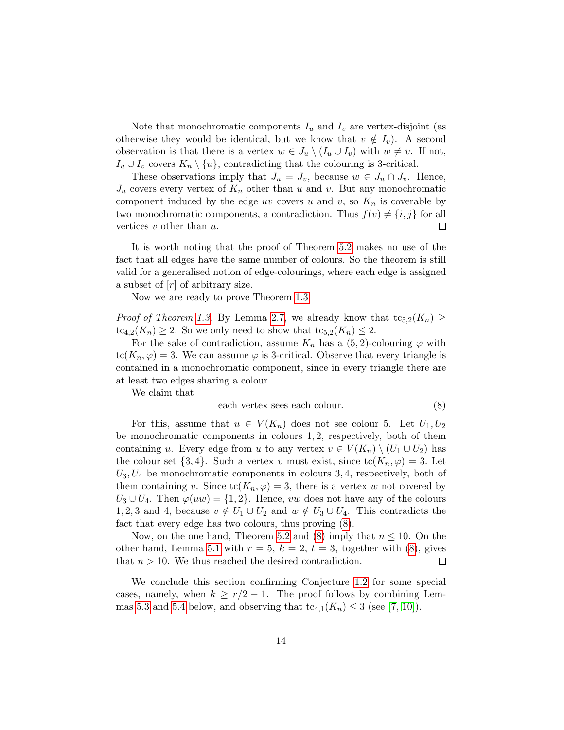Note that monochromatic components  $I_u$  and  $I_v$  are vertex-disjoint (as otherwise they would be identical, but we know that  $v \notin I_v$ ). A second observation is that there is a vertex  $w \in J_u \setminus (I_u \cup I_v)$  with  $w \neq v$ . If not,  $I_u \cup I_v$  covers  $K_n \setminus \{u\}$ , contradicting that the colouring is 3-critical.

These observations imply that  $J_u = J_v$ , because  $w \in J_u \cap J_v$ . Hence,  $J_u$  covers every vertex of  $K_n$  other than u and v. But any monochromatic component induced by the edge uv covers u and v, so  $K_n$  is coverable by two monochromatic components, a contradiction. Thus  $f(v) \neq \{i, j\}$  for all vertices  $v$  other than  $u$ .  $\Box$ 

It is worth noting that the proof of Theorem [5.2](#page-12-0) makes no use of the fact that all edges have the same number of colours. So the theorem is still valid for a generalised notion of edge-colourings, where each edge is assigned a subset of  $[r]$  of arbitrary size.

Now we are ready to prove Theorem [1.3.](#page-2-3)

*Proof of Theorem [1.3.](#page-2-3)* By Lemma [2.7,](#page-6-0) we already know that  $tc_{5,2}(K_n) \ge$  $tc_{4,2}(K_n) \geq 2$ . So we only need to show that  $tc_{5,2}(K_n) \leq 2$ .

For the sake of contradiction, assume  $K_n$  has a  $(5, 2)$ -colouring  $\varphi$  with  $tc(K_n, \varphi) = 3$ . We can assume  $\varphi$  is 3-critical. Observe that every triangle is contained in a monochromatic component, since in every triangle there are at least two edges sharing a colour.

We claim that

<span id="page-13-1"></span>
$$
each vertex sees each colour. \t(8)
$$

For this, assume that  $u \in V(K_n)$  does not see colour 5. Let  $U_1, U_2$ be monochromatic components in colours 1, 2, respectively, both of them containing u. Every edge from u to any vertex  $v \in V(K_n) \setminus (U_1 \cup U_2)$  has the colour set  $\{3, 4\}$ . Such a vertex v must exist, since  $\text{tc}(K_n, \varphi) = 3$ . Let  $U_3, U_4$  be monochromatic components in colours 3, 4, respectively, both of them containing v. Since  $tc(K_n, \varphi) = 3$ , there is a vertex w not covered by  $U_3 \cup U_4$ . Then  $\varphi(uw) = \{1,2\}$ . Hence, vw does not have any of the colours 1, 2, 3 and 4, because  $v \notin U_1 \cup U_2$  and  $w \notin U_3 \cup U_4$ . This contradicts the fact that every edge has two colours, thus proving [\(8\)](#page-13-1).

Now, on the one hand, Theorem [5.2](#page-12-0) and [\(8\)](#page-13-1) imply that  $n \leq 10$ . On the other hand, Lemma [5.1](#page-11-1) with  $r = 5$ ,  $k = 2$ ,  $t = 3$ , together with [\(8\)](#page-13-1), gives that  $n > 10$ . We thus reached the desired contradiction.  $\Box$ 

<span id="page-13-0"></span>We conclude this section confirming Conjecture [1.2](#page-1-1) for some special cases, namely, when  $k \geq r/2 - 1$ . The proof follows by combining Lem-mas [5.3](#page-13-0) and [5.4](#page-14-0) below, and observing that  $tc_{4,1}(K_n) \leq 3$  (see [\[7,](#page-20-2) [10\]](#page-21-2)).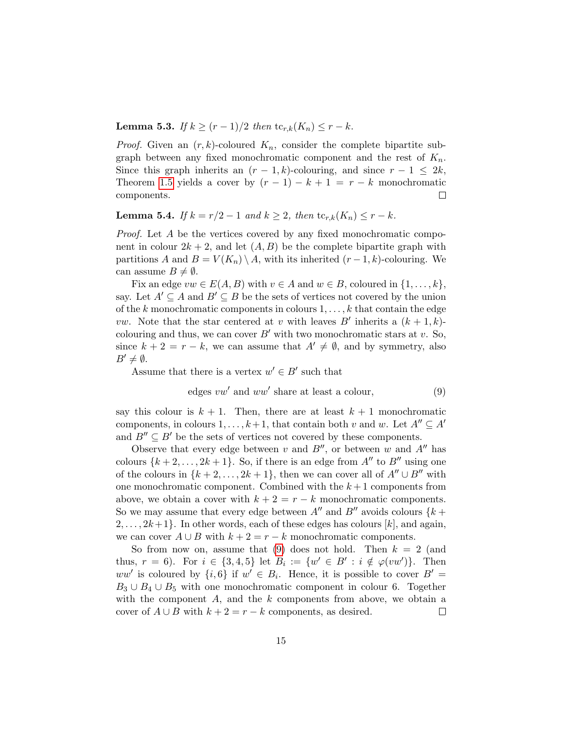**Lemma 5.3.** *If*  $k \ge (r-1)/2$  *then*  $\text{tc}_{r,k}(K_n) \le r - k$ .

*Proof.* Given an  $(r, k)$ -coloured  $K_n$ , consider the complete bipartite subgraph between any fixed monochromatic component and the rest of  $K_n$ . Since this graph inherits an  $(r-1, k)$ -colouring, and since  $r-1 \leq 2k$ , Theorem [1.5](#page-2-1) yields a cover by  $(r - 1) - k + 1 = r - k$  monochromatic components.  $\Box$ 

# <span id="page-14-0"></span>**Lemma 5.4.** If  $k = r/2 - 1$  and  $k \geq 2$ , then  $\text{tc}_{r,k}(K_n) \leq r - k$ .

Proof. Let A be the vertices covered by any fixed monochromatic component in colour  $2k + 2$ , and let  $(A, B)$  be the complete bipartite graph with partitions A and  $B = V(K_n) \setminus A$ , with its inherited  $(r-1, k)$ -colouring. We can assume  $B \neq \emptyset$ .

Fix an edge  $vw \in E(A, B)$  with  $v \in A$  and  $w \in B$ , coloured in  $\{1, \ldots, k\}$ , say. Let  $A' \subseteq A$  and  $B' \subseteq B$  be the sets of vertices not covered by the union of the k monochromatic components in colours  $1, \ldots, k$  that contain the edge *vw*. Note that the star centered at v with leaves B' inherits a  $(k + 1, k)$ colouring and thus, we can cover  $B'$  with two monochromatic stars at v. So, since  $k + 2 = r - k$ , we can assume that  $A' \neq \emptyset$ , and by symmetry, also  $B' \neq \emptyset$ .

Assume that there is a vertex  $w' \in B'$  such that

<span id="page-14-1"></span>edges 
$$
vw'
$$
 and  $ww'$  share at least a colour, (9)

say this colour is  $k + 1$ . Then, there are at least  $k + 1$  monochromatic components, in colours  $1, \ldots, k+1$ , that contain both v and w. Let  $A'' \subseteq A'$ and  $B'' \subseteq B'$  be the sets of vertices not covered by these components.

Observe that every edge between v and  $B''$ , or between w and  $A''$  has colours  $\{k+2,\ldots, 2k+1\}$ . So, if there is an edge from  $A''$  to  $B''$  using one of the colours in  $\{k+2,\ldots,2k+1\}$ , then we can cover all of  $A'' \cup B''$  with one monochromatic component. Combined with the  $k+1$  components from above, we obtain a cover with  $k + 2 = r - k$  monochromatic components. So we may assume that every edge between  $A''$  and  $B''$  avoids colours  ${k +}$  $2, \ldots, 2k+1$ . In other words, each of these edges has colours [k], and again, we can cover  $A \cup B$  with  $k + 2 = r - k$  monochromatic components.

So from now on, assume that [\(9\)](#page-14-1) does not hold. Then  $k = 2$  (and thus,  $r = 6$ ). For  $i \in \{3, 4, 5\}$  let  $B_i := \{w' \in B' : i \notin \varphi(vw')\}$ . Then ww' is coloured by  $\{i, 6\}$  if  $w' \in B_i$ . Hence, it is possible to cover  $B' =$  $B_3 \cup B_4 \cup B_5$  with one monochromatic component in colour 6. Together with the component  $A$ , and the  $k$  components from above, we obtain a cover of  $A \cup B$  with  $k + 2 = r - k$  components, as desired.  $\Box$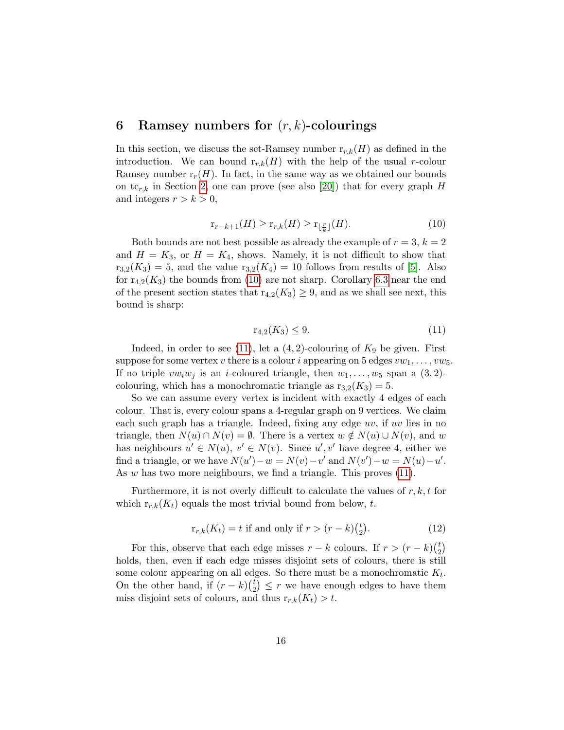# <span id="page-15-0"></span>6 Ramsey numbers for  $(r, k)$ -colourings

In this section, we discuss the set-Ramsey number  $r_{r,k}(H)$  as defined in the introduction. We can bound  $r_{r,k}(H)$  with the help of the usual r-colour Ramsey number  $r_r(H)$ . In fact, in the same way as we obtained our bounds on tc<sub>r,k</sub> in Section [2,](#page-4-0) one can prove (see also [\[20\]](#page-22-0)) that for every graph H and integers  $r > k > 0$ ,

<span id="page-15-1"></span>
$$
\mathbf{r}_{r-k+1}(H) \ge \mathbf{r}_{r,k}(H) \ge \mathbf{r}_{\lfloor \frac{r}{k} \rfloor}(H). \tag{10}
$$

Both bounds are not best possible as already the example of  $r = 3$ ,  $k = 2$ and  $H = K_3$ , or  $H = K_4$ , shows. Namely, it is not difficult to show that  $r_{3,2}(K_3) = 5$ , and the value  $r_{3,2}(K_4) = 10$  follows from results of [\[5\]](#page-20-5). Also for  $r_{4,2}(K_3)$  the bounds from [\(10\)](#page-15-1) are not sharp. Corollary [6.3](#page-16-0) near the end of the present section states that  $r_{4,2}(K_3) \geq 9$ , and as we shall see next, this bound is sharp:

<span id="page-15-2"></span>
$$
r_{4,2}(K_3) \le 9. \tag{11}
$$

Indeed, in order to see [\(11\)](#page-15-2), let a  $(4, 2)$ -colouring of  $K_9$  be given. First suppose for some vertex v there is a colour i appearing on 5 edges  $vw_1, \ldots, vw_5$ . If no triple  $vw_iw_j$  is an *i*-coloured triangle, then  $w_1, \ldots, w_5$  span a  $(3, 2)$ colouring, which has a monochromatic triangle as  $r_{3,2}(K_3) = 5$ .

So we can assume every vertex is incident with exactly 4 edges of each colour. That is, every colour spans a 4-regular graph on 9 vertices. We claim each such graph has a triangle. Indeed, fixing any edge  $uv$ , if  $uv$  lies in no triangle, then  $N(u) \cap N(v) = \emptyset$ . There is a vertex  $w \notin N(u) \cup N(v)$ , and w has neighbours  $u' \in N(u)$ ,  $v' \in N(v)$ . Since  $u', v'$  have degree 4, either we find a triangle, or we have  $N(u') - w = N(v) - v'$  and  $N(v') - w = N(u) - u'$ . As w has two more neighbours, we find a triangle. This proves  $(11)$ .

Furthermore, it is not overly difficult to calculate the values of  $r, k, t$  for which  $r_{r,k}(K_t)$  equals the most trivial bound from below, t.

<span id="page-15-3"></span>
$$
\mathbf{r}_{r,k}(K_t) = t \text{ if and only if } r > (r-k)\binom{t}{2}.\tag{12}
$$

For this, observe that each edge misses  $r - k$  colours. If  $r > (r - k)\binom{k}{2}$  $_{2}^{t}$ holds, then, even if each edge misses disjoint sets of colours, there is still some colour appearing on all edges. So there must be a monochromatic  $K_t$ . On the other hand, if  $(r-k)$  $\binom{t}{2}$  $\binom{t}{2} \leq r$  we have enough edges to have them miss disjoint sets of colours, and thus  $r_{r,k}(K_t) > t$ .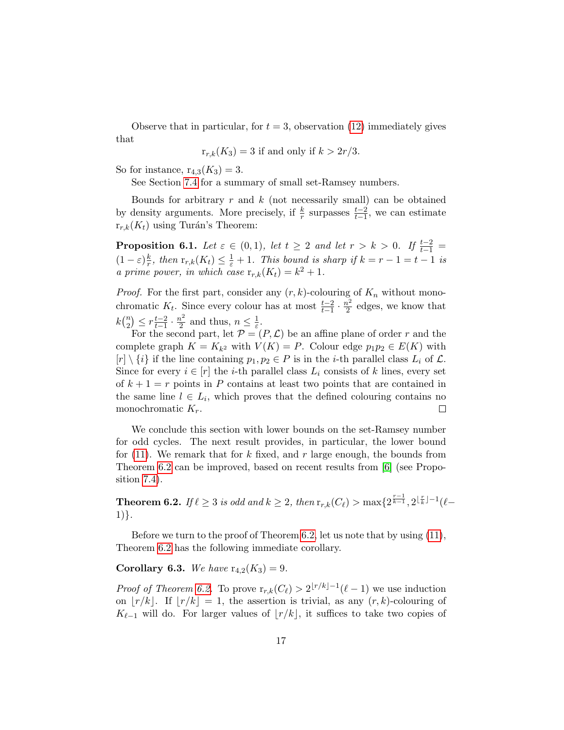Observe that in particular, for  $t = 3$ , observation [\(12\)](#page-15-3) immediately gives that

$$
r_{r,k}(K_3) = 3
$$
 if and only if  $k > 2r/3$ .

So for instance,  $r_{4,3}(K_3) = 3$ .

See Section [7.4](#page-19-1) for a summary of small set-Ramsey numbers.

Bounds for arbitrary  $r$  and  $k$  (not necessarily small) can be obtained by density arguments. More precisely, if  $\frac{k}{r}$  surpasses  $\frac{t-2}{t-1}$ , we can estimate  $r_{r,k}(K_t)$  using Turán's Theorem:

<span id="page-16-2"></span>**Proposition 6.1.** Let  $\varepsilon \in (0,1)$ , let  $t \geq 2$  and let  $r > k > 0$ . If  $\frac{t-2}{t-1} =$  $(1-\varepsilon)\frac{k}{r}$  $\frac{k}{r}$ , then  $\mathop{\rm r}_{r,k}(K_t) \leq \frac{1}{\varepsilon} + 1$ . This bound is sharp if  $k = r - 1 = t - 1$  is a prime power, in which case  $r_{r,k}(K_t) = k^2 + 1$ .

*Proof.* For the first part, consider any  $(r, k)$ -colouring of  $K_n$  without monochromatic  $K_t$ . Since every colour has at most  $\frac{t-2}{t-1} \cdot \frac{n^2}{2}$  $\frac{v^2}{2}$  edges, we know that  $k\binom{n}{2}$  ${n \choose 2} \leq r \frac{t-2}{t-1}$  $\frac{t-2}{t-1} \cdot \frac{n^2}{2}$  $\frac{n^2}{2}$  and thus,  $n \leq \frac{1}{\varepsilon}$  $\frac{1}{\varepsilon}$ .

For the second part, let  $\mathcal{P} = (P, \mathcal{L})$  be an affine plane of order r and the complete graph  $K = K_{k^2}$  with  $V(K) = P$ . Colour edge  $p_1p_2 \in E(K)$  with  $[r] \setminus \{i\}$  if the line containing  $p_1, p_2 \in P$  is in the *i*-th parallel class  $L_i$  of  $\mathcal{L}$ . Since for every  $i \in [r]$  the *i*-th parallel class  $L_i$  consists of k lines, every set of  $k + 1 = r$  points in P contains at least two points that are contained in the same line  $l \in L_i$ , which proves that the defined colouring contains no monochromatic  $K_r$ .  $\Box$ 

We conclude this section with lower bounds on the set-Ramsey number for odd cycles. The next result provides, in particular, the lower bound for [\(11\)](#page-15-2). We remark that for k fixed, and r large enough, the bounds from Theorem [6.2](#page-16-1) can be improved, based on recent results from [\[6\]](#page-20-6) (see Proposition [7.4\)](#page-19-0).

<span id="page-16-1"></span>Theorem 6.2. If  $\ell \geq 3$  is odd and  $k \geq 2$ , then  $\mathrm{r}_{r,k}(C_\ell) > \max\{2^{\frac{r-1}{k-1}},2^{\lfloor \frac{r}{k} \rfloor - 1} (\ell -$ 1)}.

Before we turn to the proof of Theorem [6.2,](#page-16-1) let us note that by using [\(11\)](#page-15-2), Theorem [6.2](#page-16-1) has the following immediate corollary.

<span id="page-16-0"></span>**Corollary 6.3.** We have  $r_{4,2}(K_3) = 9$ .

*Proof of Theorem [6.2.](#page-16-1)* To prove  $r_{r,k}(C_\ell) > 2^{\lfloor r/k \rfloor - 1} (\ell - 1)$  we use induction on  $|r/k|$ . If  $|r/k| = 1$ , the assertion is trivial, as any  $(r, k)$ -colouring of  $K_{\ell-1}$  will do. For larger values of  $|r/k|$ , it suffices to take two copies of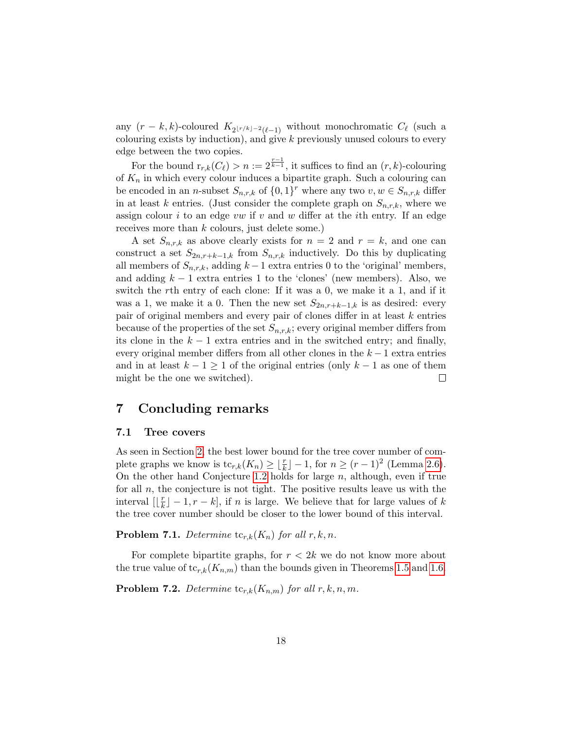any  $(r - k, k)$ -coloured  $K_{2\lfloor r/k\rfloor - 2(\ell-1)}$  without monochromatic  $C_{\ell}$  (such a colouring exists by induction), and give k previously unused colours to every edge between the two copies.

For the bound  $r_{r,k}(C_{\ell}) > n := 2^{\frac{r-1}{k-1}}$ , it suffices to find an  $(r, k)$ -colouring of  $K_n$  in which every colour induces a bipartite graph. Such a colouring can be encoded in an *n*-subset  $S_{n,r,k}$  of  $\{0,1\}^r$  where any two  $v, w \in S_{n,r,k}$  differ in at least k entries. (Just consider the complete graph on  $S_{n,r,k}$ , where we assign colour i to an edge vw if v and w differ at the ith entry. If an edge receives more than k colours, just delete some.)

A set  $S_{n,r,k}$  as above clearly exists for  $n = 2$  and  $r = k$ , and one can construct a set  $S_{2n,r+k-1,k}$  from  $S_{n,r,k}$  inductively. Do this by duplicating all members of  $S_{n,r,k}$ , adding  $k-1$  extra entries 0 to the 'original' members, and adding  $k - 1$  extra entries 1 to the 'clones' (new members). Also, we switch the rth entry of each clone: If it was a 0, we make it a 1, and if it was a 1, we make it a 0. Then the new set  $S_{2n,r+k-1,k}$  is as desired: every pair of original members and every pair of clones differ in at least k entries because of the properties of the set  $S_{n,r,k}$ ; every original member differs from its clone in the  $k-1$  extra entries and in the switched entry; and finally, every original member differs from all other clones in the  $k-1$  extra entries and in at least  $k - 1 \geq 1$  of the original entries (only  $k - 1$  as one of them might be the one we switched).  $\Box$ 

# <span id="page-17-0"></span>7 Concluding remarks

#### 7.1 Tree covers

As seen in Section [2,](#page-4-0) the best lower bound for the tree cover number of complete graphs we know is  $tc_{r,k}(K_n) \geq \lfloor \frac{r}{k} \rfloor - 1$ , for  $n \geq (r-1)^2$  (Lemma [2.6\)](#page-5-4). On the other hand Conjecture [1.2](#page-1-1) holds for large  $n$ , although, even if true for all  $n$ , the conjecture is not tight. The positive results leave us with the interval  $\left[ \begin{array}{c} \frac{r}{k} \end{array} \right]$  $\lfloor \frac{r}{k} \rfloor - 1, r - k$ , if *n* is large. We believe that for large values of k the tree cover number should be closer to the lower bound of this interval.

**Problem 7.1.** Determine  $\mathrm{tc}_{r,k}(K_n)$  for all  $r, k, n$ .

For complete bipartite graphs, for  $r < 2k$  we do not know more about the true value of  $\text{tc}_{r,k}(K_{n,m})$  than the bounds given in Theorems [1.5](#page-2-1) and [1.6.](#page-2-2)

**Problem 7.2.** Determine  $\mathrm{tc}_{r,k}(K_{n,m})$  for all  $r, k, n, m$ .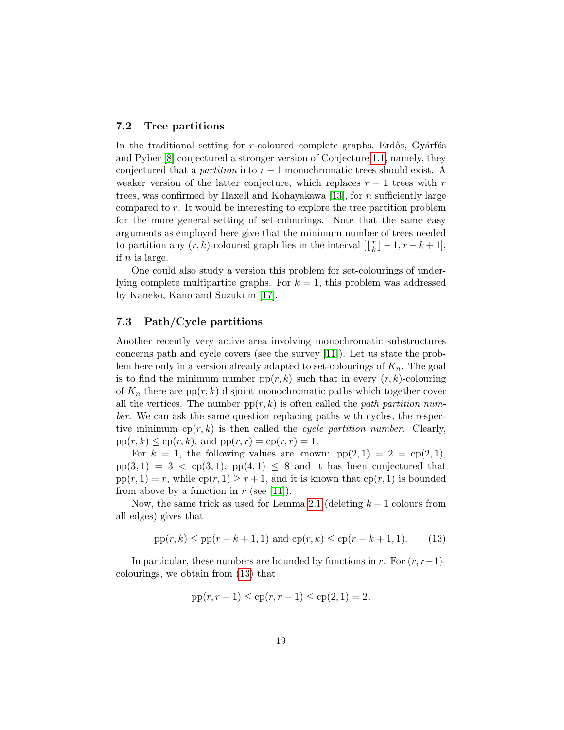## 7.2 Tree partitions

In the traditional setting for  $r$ -coloured complete graphs, Erdős, Gyárfás and Pyber [\[8\]](#page-21-1) conjectured a stronger version of Conjecture [1.1,](#page-1-0) namely, they conjectured that a *partition* into  $r - 1$  monochromatic trees should exist. A weaker version of the latter conjecture, which replaces  $r - 1$  trees with r trees, was confirmed by Haxell and Kohayakawa [\[13\]](#page-21-3), for  $n$  sufficiently large compared to r. It would be interesting to explore the tree partition problem for the more general setting of set-colourings. Note that the same easy arguments as employed here give that the minimum number of trees needed to partition any  $(r, k)$ -coloured graph lies in the interval  $\iint_R \mathbf{r} \, dt$  $\frac{r}{k}$ ] – 1,  $r - k + 1$ ], if  $n$  is large.

One could also study a version this problem for set-colourings of underlying complete multipartite graphs. For  $k = 1$ , this problem was addressed by Kaneko, Kano and Suzuki in [\[17\]](#page-21-9).

## <span id="page-18-0"></span>7.3 Path/Cycle partitions

Another recently very active area involving monochromatic substructures concerns path and cycle covers (see the survey [\[11\]](#page-21-10)). Let us state the problem here only in a version already adapted to set-colourings of  $K_n$ . The goal is to find the minimum number  $pp(r, k)$  such that in every  $(r, k)$ -colouring of  $K_n$  there are  $pp(r, k)$  disjoint monochromatic paths which together cover all the vertices. The number  $pp(r, k)$  is often called the *path partition num*ber. We can ask the same question replacing paths with cycles, the respective minimum  $cp(r, k)$  is then called the cycle partition number. Clearly,  $pp(r, k) \leq cp(r, k)$ , and  $pp(r, r) = cp(r, r) = 1$ .

For  $k = 1$ , the following values are known:  $pp(2, 1) = 2 = cp(2, 1)$ ,  $pp(3, 1) = 3 < pp(3, 1)$ ,  $pp(4, 1) \leq 8$  and it has been conjectured that  $pp(r, 1) = r$ , while  $cp(r, 1) \geq r + 1$ , and it is known that  $cp(r, 1)$  is bounded from above by a function in  $r$  (see [\[11\]](#page-21-10)).

Now, the same trick as used for Lemma [2.1](#page-4-1) (deleting  $k-1$  colours from all edges) gives that

<span id="page-18-1"></span>
$$
pp(r, k) \leq pp(r - k + 1, 1)
$$
 and  $cp(r, k) \leq cp(r - k + 1, 1).$  (13)

In particular, these numbers are bounded by functions in r. For  $(r, r-1)$ colourings, we obtain from [\(13\)](#page-18-1) that

$$
pp(r, r-1) \leq cp(r, r-1) \leq cp(2, 1) = 2.
$$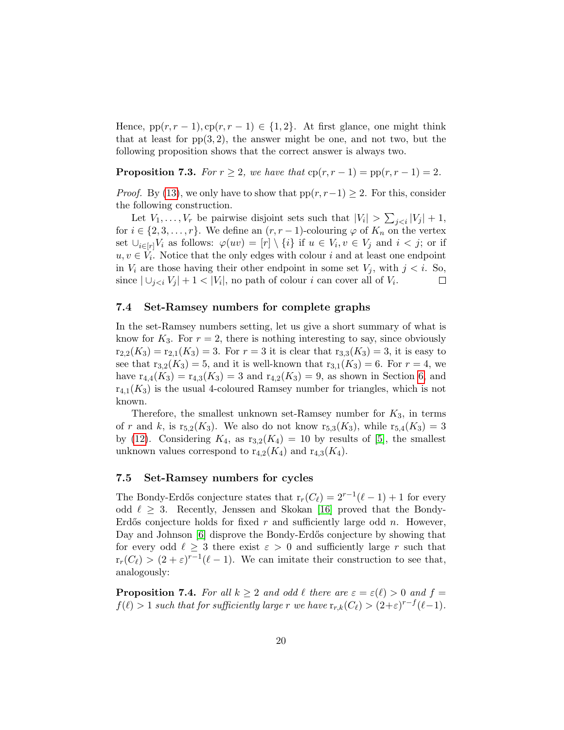Hence,  $pp(r, r - 1)$ ,  $cp(r, r - 1) \in \{1, 2\}$ . At first glance, one might think that at least for  $pp(3, 2)$ , the answer might be one, and not two, but the following proposition shows that the correct answer is always two.

**Proposition 7.3.** For  $r \geq 2$ , we have that  $cp(r, r - 1) = pp(r, r - 1) = 2$ .

*Proof.* By [\(13\)](#page-18-1), we only have to show that  $pp(r, r-1) \geq 2$ . For this, consider the following construction.

Let  $V_1, \ldots, V_r$  be pairwise disjoint sets such that  $|V_i| > \sum_{j < i} |V_j| + 1$ , for  $i \in \{2, 3, \ldots, r\}$ . We define an  $(r, r-1)$ -colouring  $\varphi$  of  $K_n$  on the vertex set  $\cup_{i\in[r]}V_i$  as follows:  $\varphi(uv) = [r] \setminus \{i\}$  if  $u \in V_i, v \in V_j$  and  $i < j$ ; or if  $u, v \in V_i$ . Notice that the only edges with colour i and at least one endpoint in  $V_i$  are those having their other endpoint in some set  $V_j$ , with  $j < i$ . So, since  $|\bigcup_{j, no path of colour *i* can cover all of  $V_i$ .$  $\Box$ 

## <span id="page-19-1"></span>7.4 Set-Ramsey numbers for complete graphs

In the set-Ramsey numbers setting, let us give a short summary of what is know for  $K_3$ . For  $r = 2$ , there is nothing interesting to say, since obviously  $r_{2,2}(K_3) = r_{2,1}(K_3) = 3$ . For  $r = 3$  it is clear that  $r_{3,3}(K_3) = 3$ , it is easy to see that  $r_{3,2}(K_3) = 5$ , and it is well-known that  $r_{3,1}(K_3) = 6$ . For  $r = 4$ , we have  $r_{4,4}(K_3) = r_{4,3}(K_3) = 3$  and  $r_{4,2}(K_3) = 9$ , as shown in Section [6,](#page-15-0) and  $r_{4,1}(K_3)$  is the usual 4-coloured Ramsey number for triangles, which is not known.

Therefore, the smallest unknown set-Ramsey number for  $K_3$ , in terms of r and k, is  $r_{5,2}(K_3)$ . We also do not know  $r_{5,3}(K_3)$ , while  $r_{5,4}(K_3) = 3$ by [\(12\)](#page-15-3). Considering  $K_4$ , as  $r_{3,2}(K_4) = 10$  by results of [\[5\]](#page-20-5), the smallest unknown values correspond to  $r_{4,2}(K_4)$  and  $r_{4,3}(K_4)$ .

#### 7.5 Set-Ramsey numbers for cycles

The Bondy-Erdős conjecture states that  $r_r(C_\ell) = 2^{r-1}(\ell-1) + 1$  for every odd  $\ell \geq 3$ . Recently, Jenssen and Skokan [\[16\]](#page-21-11) proved that the Bondy-Erdős conjecture holds for fixed  $r$  and sufficiently large odd  $n$ . However, Day and Johnson [\[6\]](#page-20-6) disprove the Bondy-Erdős conjecture by showing that for every odd  $\ell \geq 3$  there exist  $\varepsilon > 0$  and sufficiently large r such that  $r_r(C_\ell) > (2+\varepsilon)^{r-1}(\ell-1)$ . We can imitate their construction to see that, analogously:

<span id="page-19-0"></span>**Proposition 7.4.** For all  $k \geq 2$  and odd  $\ell$  there are  $\varepsilon = \varepsilon(\ell) > 0$  and  $f =$  $f(\ell) > 1$  such that for sufficiently large r we have  $r_{r,k}(C_{\ell}) > (2+\varepsilon)^{r-f}(\ell-1)$ .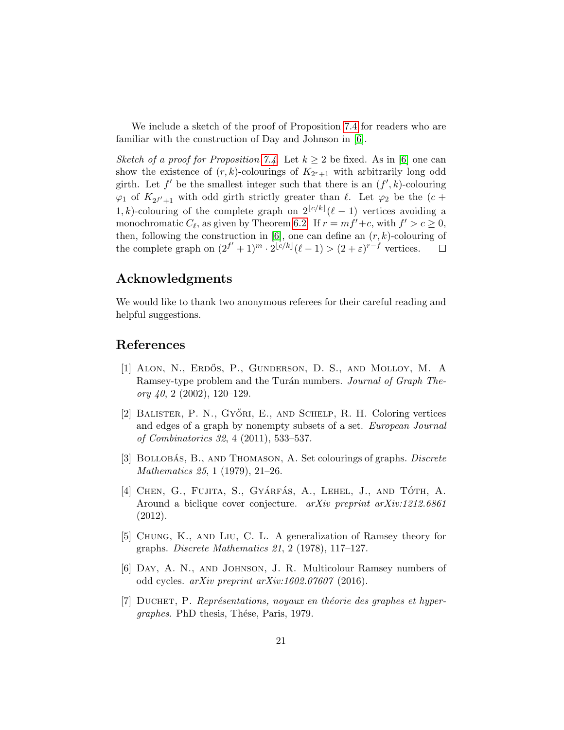We include a sketch of the proof of Proposition [7.4](#page-19-0) for readers who are familiar with the construction of Day and Johnson in [\[6\]](#page-20-6).

Sketch of a proof for Proposition [7.4.](#page-19-0) Let  $k \geq 2$  be fixed. As in [\[6\]](#page-20-6) one can show the existence of  $(r, k)$ -colourings of  $K_{2r+1}$  with arbitrarily long odd girth. Let  $f'$  be the smallest integer such that there is an  $(f', k)$ -colouring  $\varphi_1$  of  $K_{2^{f'}+1}$  with odd girth strictly greater than  $\ell$ . Let  $\varphi_2$  be the  $(c +$ 1, k)-colouring of the complete graph on  $2^{\lfloor c/k \rfloor}(\ell-1)$  vertices avoiding a monochromatic  $C_{\ell}$ , as given by Theorem [6.2.](#page-16-1) If  $r = mf' + c$ , with  $f' > c \ge 0$ , then, following the construction in [\[6\]](#page-20-6), one can define an  $(r, k)$ -colouring of the complete graph on  $(2^{f'} + 1)^m \cdot 2^{\lfloor c/k \rfloor} (\ell - 1) > (2 + \varepsilon)^{r-f}$  vertices.  $\Box$ 

# Acknowledgments

We would like to thank two anonymous referees for their careful reading and helpful suggestions.

# References

- <span id="page-20-4"></span>[1] ALON, N., ERDŐS, P., GUNDERSON, D. S., AND MOLLOY, M. A Ramsey-type problem and the Turán numbers. Journal of Graph Theory  $40, 2$  (2002), 120–129.
- <span id="page-20-0"></span>[2] BALISTER, P. N., GYŐRI, E., AND SCHELP, R. H. Coloring vertices and edges of a graph by nonempty subsets of a set. European Journal of Combinatorics 32, 4 (2011), 533–537.
- <span id="page-20-1"></span>[3] BOLLOBÁS, B., AND THOMASON, A. Set colourings of graphs. Discrete Mathematics 25, 1 (1979), 21–26.
- <span id="page-20-3"></span>[4] CHEN, G., FUJITA, S., GYÁRFÁS, A., LEHEL, J., AND TÓTH, A. Around a biclique cover conjecture. arXiv preprint arXiv:1212.6861 (2012).
- <span id="page-20-5"></span>[5] Chung, K., and Liu, C. L. A generalization of Ramsey theory for graphs. Discrete Mathematics 21, 2 (1978), 117–127.
- <span id="page-20-6"></span>[6] Day, A. N., and Johnson, J. R. Multicolour Ramsey numbers of odd cycles. arXiv preprint arXiv:1602.07607 (2016).
- <span id="page-20-2"></span>[7] DUCHET, P. Représentations, noyaux en théorie des graphes et hypergraphes. PhD thesis, Thése, Paris, 1979.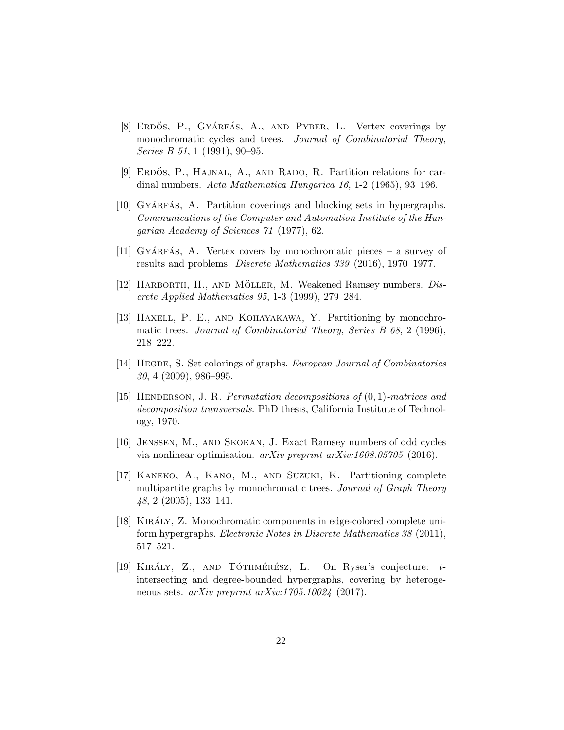- <span id="page-21-1"></span>[8] ERDŐS, P., GYÁRFÁS, A., AND PYBER, L. Vertex coverings by monochromatic cycles and trees. Journal of Combinatorial Theory, Series B 51, 1 (1991), 90–95.
- <span id="page-21-6"></span>[9] ERDOS, P., HAJNAL, A., AND RADO, R. Partition relations for cardinal numbers. Acta Mathematica Hungarica 16, 1-2 (1965), 93–196.
- <span id="page-21-2"></span>[10] GYÁRFÁS, A. Partition coverings and blocking sets in hypergraphs. Communications of the Computer and Automation Institute of the Hungarian Academy of Sciences 71 (1977), 62.
- <span id="page-21-10"></span>[11] GYÁRFÁS, A. Vertex covers by monochromatic pieces – a survey of results and problems. Discrete Mathematics 339 (2016), 1970–1977.
- <span id="page-21-7"></span>[12] HARBORTH, H., AND MÖLLER, M. Weakened Ramsey numbers.  $Dis$ crete Applied Mathematics 95, 1-3 (1999), 279–284.
- <span id="page-21-3"></span>[13] Haxell, P. E., and Kohayakawa, Y. Partitioning by monochromatic trees. Journal of Combinatorial Theory, Series B 68, 2 (1996), 218–222.
- <span id="page-21-0"></span>[14] HEGDE, S. Set colorings of graphs. *European Journal of Combinatorics* 30, 4 (2009), 986–995.
- <span id="page-21-8"></span>[15] Henderson, J. R. Permutation decompositions of (0, 1)-matrices and decomposition transversals. PhD thesis, California Institute of Technology, 1970.
- <span id="page-21-11"></span>[16] Jenssen, M., and Skokan, J. Exact Ramsey numbers of odd cycles via nonlinear optimisation. arXiv preprint arXiv:1608.05705 (2016).
- <span id="page-21-9"></span>[17] Kaneko, A., Kano, M., and Suzuki, K. Partitioning complete multipartite graphs by monochromatic trees. Journal of Graph Theory 48, 2 (2005), 133–141.
- <span id="page-21-4"></span>[18] KIRÁLY, Z. Monochromatic components in edge-colored complete uniform hypergraphs. Electronic Notes in Discrete Mathematics 38 (2011), 517–521.
- <span id="page-21-5"></span>[19] KIRÁLY, Z., AND TÓTHMÉRÉSZ, L. On Ryser's conjecture:  $t$ intersecting and degree-bounded hypergraphs, covering by heterogeneous sets. arXiv preprint arXiv:1705.10024 (2017).